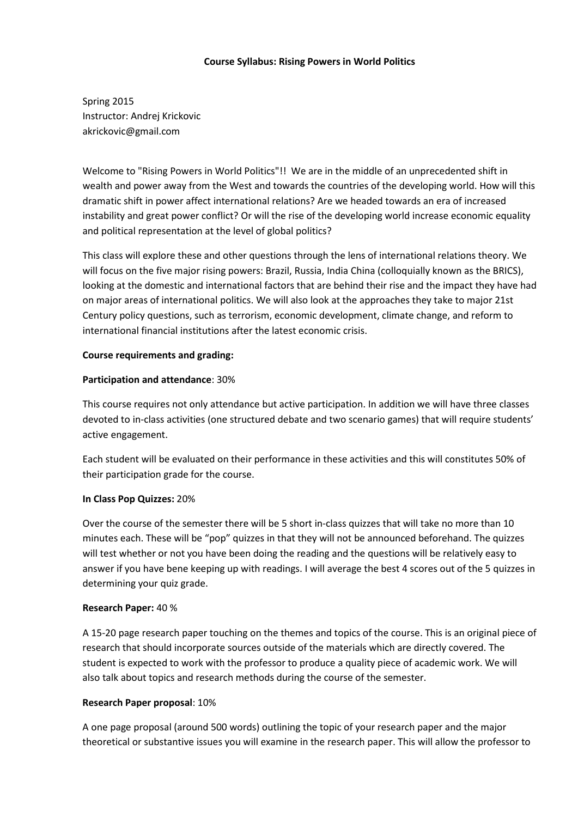## **Course Syllabus: Rising Powers in World Politics**

Spring 2015 Instructor: Andrej Krickovic akrickovic@gmail.com

Welcome to "Rising Powers in World Politics"!! We are in the middle of an unprecedented shift in wealth and power away from the West and towards the countries of the developing world. How will this dramatic shift in power affect international relations? Are we headed towards an era of increased instability and great power conflict? Or will the rise of the developing world increase economic equality and political representation at the level of global politics?

This class will explore these and other questions through the lens of international relations theory. We will focus on the five major rising powers: Brazil, Russia, India China (colloquially known as the BRICS), looking at the domestic and international factors that are behind their rise and the impact they have had on major areas of international politics. We will also look at the approaches they take to major 21st Century policy questions, such as terrorism, economic development, climate change, and reform to international financial institutions after the latest economic crisis.

## **Course requirements and grading:**

## **Participation and attendance**: 30%

This course requires not only attendance but active participation. In addition we will have three classes devoted to in-class activities (one structured debate and two scenario games) that will require students' active engagement.

Each student will be evaluated on their performance in these activities and this will constitutes 50% of their participation grade for the course.

# **In Class Pop Quizzes:** 20%

Over the course of the semester there will be 5 short in-class quizzes that will take no more than 10 minutes each. These will be "pop" quizzes in that they will not be announced beforehand. The quizzes will test whether or not you have been doing the reading and the questions will be relatively easy to answer if you have bene keeping up with readings. I will average the best 4 scores out of the 5 quizzes in determining your quiz grade.

# **Research Paper:** 40 %

A 15-20 page research paper touching on the themes and topics of the course. This is an original piece of research that should incorporate sources outside of the materials which are directly covered. The student is expected to work with the professor to produce a quality piece of academic work. We will also talk about topics and research methods during the course of the semester.

#### **Research Paper proposal**: 10%

A one page proposal (around 500 words) outlining the topic of your research paper and the major theoretical or substantive issues you will examine in the research paper. This will allow the professor to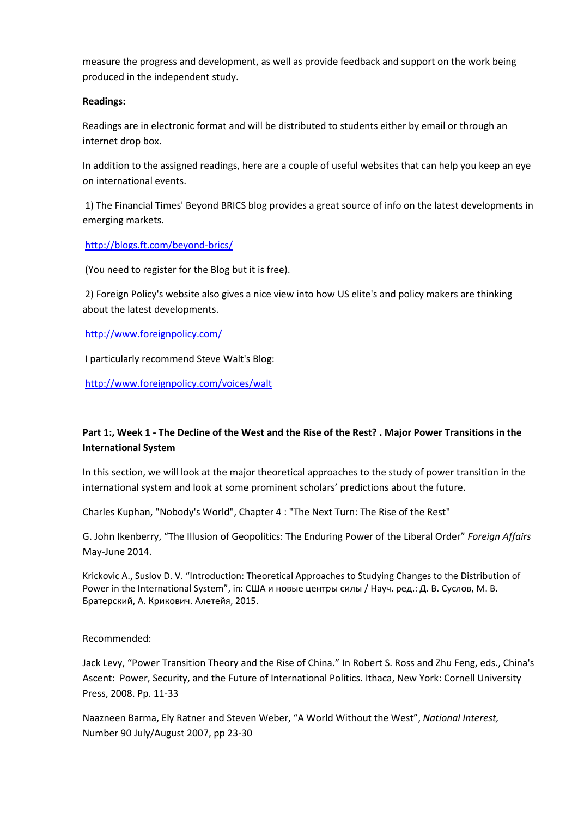measure the progress and development, as well as provide feedback and support on the work being produced in the independent study.

#### **Readings:**

Readings are in electronic format and will be distributed to students either by email or through an internet drop box.

In addition to the assigned readings, here are a couple of useful websites that can help you keep an eye on international events.

1) The Financial Times' Beyond BRICS blog provides a great source of info on the latest developments in emerging markets.

<http://blogs.ft.com/beyond-brics/>

(You need to register for the Blog but it is free).

2) Foreign Policy's website also gives a nice view into how US elite's and policy makers are thinking about the latest developments.

<http://www.foreignpolicy.com/>

I particularly recommend Steve Walt's Blog:

<http://www.foreignpolicy.com/voices/walt>

# **Part 1:, Week 1 - The Decline of the West and the Rise of the Rest? . Major Power Transitions in the International System**

In this section, we will look at the major theoretical approaches to the study of power transition in the international system and look at some prominent scholars' predictions about the future.

Charles Kuphan, "Nobody's World", Chapter 4 : "The Next Turn: The Rise of the Rest"

G. John Ikenberry, "The Illusion of Geopolitics: The Enduring Power of the Liberal Order" *Foreign Affairs* May-June 2014.

Krickovic A., Suslov D. V. "Introduction: Theoretical Approaches to Studying Changes to the Distribution of Power in the International System", in: США и новые центры силы / Науч. ред.: Д. В. Суслов, М. В. Братерский, А. Крикович. Алетейя, 2015.

Recommended:

Jack Levy, "Power Transition Theory and the Rise of China." In Robert S. Ross and Zhu Feng, eds., China's Ascent: Power, Security, and the Future of International Politics. Ithaca, New York: Cornell University Press, 2008. Pp. 11-33

Naazneen Barma, Ely Ratner and Steven Weber, "A World Without the West", *National Interest,* Number 90 July/August 2007, pp 23-30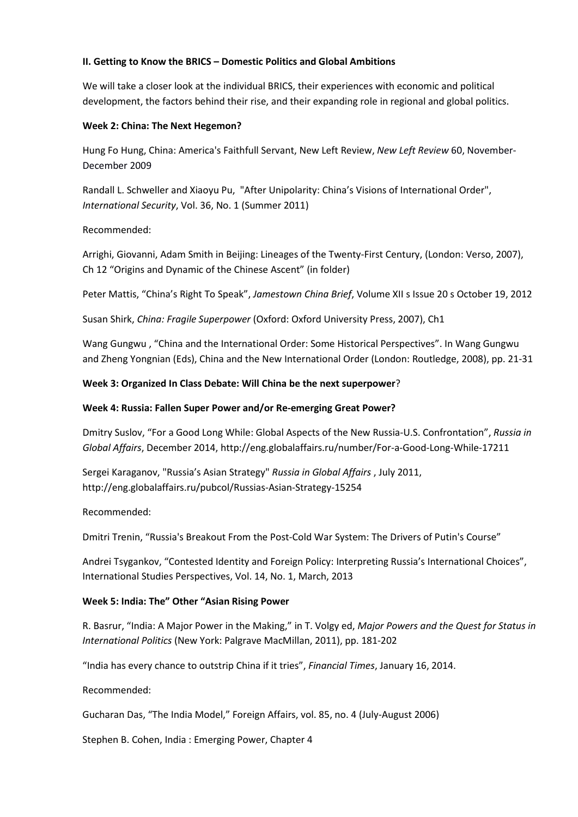## **II. Getting to Know the BRICS – Domestic Politics and Global Ambitions**

We will take a closer look at the individual BRICS, their experiences with economic and political development, the factors behind their rise, and their expanding role in regional and global politics.

#### **Week 2: China: The Next Hegemon?**

Hung Fo Hung, China: America's Faithfull Servant, New Left Review, *New Left Review* 60, November-December 2009

Randall L. Schweller and Xiaoyu Pu, "After Unipolarity: China's Visions of International Order", *International Security*, Vol. 36, No. 1 (Summer 2011)

## Recommended:

Arrighi, Giovanni, Adam Smith in Beijing: Lineages of the Twenty-First Century, (London: Verso, 2007), Ch 12 "Origins and Dynamic of the Chinese Ascent" (in folder)

Peter Mattis, "China's Right To Speak", *Jamestown China Brief*, Volume XII s Issue 20 s October 19, 2012

Susan Shirk, *China: Fragile Superpower* (Oxford: Oxford University Press, 2007), Ch1

Wang Gungwu , "China and the International Order: Some Historical Perspectives". In Wang Gungwu and Zheng Yongnian (Eds), China and the New International Order (London: Routledge, 2008), pp. 21-31

## **Week 3: Organized In Class Debate: Will China be the next superpower**?

## **Week 4: Russia: Fallen Super Power and/or Re-emerging Great Power?**

Dmitry Suslov, "For a Good Long While: Global Aspects of the New Russia-U.S. Confrontation", *Russia in Global Affairs*, December 2014, http://eng.globalaffairs.ru/number/For-a-Good-Long-While-17211

Sergei Karaganov, "Russia's Asian Strategy" *Russia in Global Affairs* , July 2011, http://eng.globalaffairs.ru/pubcol/Russias-Asian-Strategy-15254

#### Recommended:

Dmitri Trenin, "Russia's Breakout From the Post-Cold War System: The Drivers of Putin's Course"

Andrei Tsygankov, "Contested Identity and Foreign Policy: Interpreting Russia's International Choices", International Studies Perspectives, Vol. 14, No. 1, March, 2013

#### **Week 5: India: The" Other "Asian Rising Power**

R. Basrur, "India: A Major Power in the Making," in T. Volgy ed, *Major Powers and the Quest for Status in International Politics* (New York: Palgrave MacMillan, 2011), pp. 181-202

"India has every chance to outstrip China if it tries", *Financial Times*, January 16, 2014.

Recommended:

Gucharan Das, "The India Model," Foreign Affairs, vol. 85, no. 4 (July-August 2006)

Stephen B. Cohen, India : Emerging Power, Chapter 4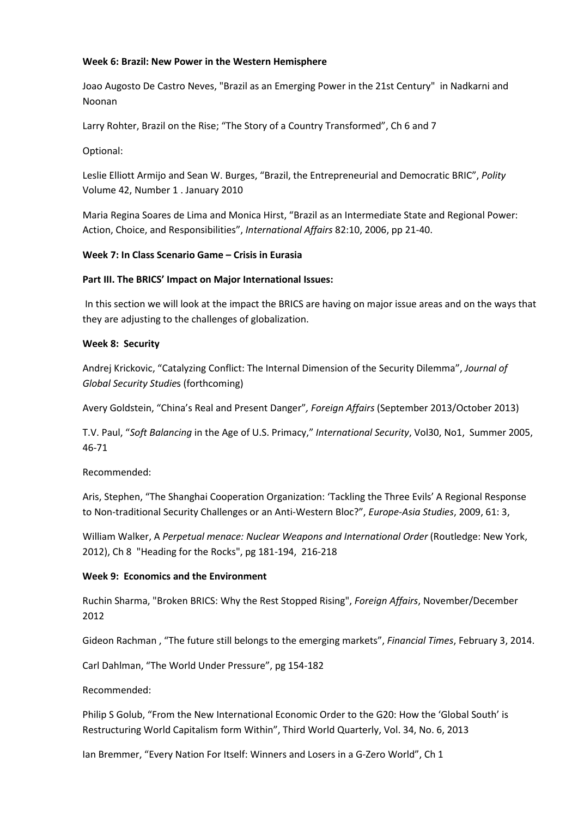#### **Week 6: Brazil: New Power in the Western Hemisphere**

Joao Augosto De Castro Neves, "Brazil as an Emerging Power in the 21st Century" in Nadkarni and Noonan

Larry Rohter, Brazil on the Rise; "The Story of a Country Transformed", Ch 6 and 7

Optional:

Leslie Elliott Armijo and Sean W. Burges, "Brazil, the Entrepreneurial and Democratic BRIC", *Polity* Volume 42, Number 1 . January 2010

Maria Regina Soares de Lima and Monica Hirst, "Brazil as an Intermediate State and Regional Power: Action, Choice, and Responsibilities", *International Affairs* 82:10, 2006, pp 21-40.

## **Week 7: In Class Scenario Game – Crisis in Eurasia**

## **Part III. The BRICS' Impact on Major International Issues:**

In this section we will look at the impact the BRICS are having on major issue areas and on the ways that they are adjusting to the challenges of globalization.

#### **Week 8: Security**

Andrej Krickovic, "Catalyzing Conflict: The Internal Dimension of the Security Dilemma", *Journal of Global Security Studie*s (forthcoming)

Avery Goldstein, "China's Real and Present Danger"*, Foreign Affairs* (September 2013/October 2013)

T.V. Paul, "*Soft Balancing* in the Age of U.S. Primacy," *International Security*, Vol30, No1, Summer 2005, 46-71

Recommended:

Aris, Stephen, "The Shanghai Cooperation Organization: 'Tackling the Three Evils' A Regional Response to Non-traditional Security Challenges or an Anti-Western Bloc?", *Europe-Asia Studies*, 2009, 61: 3,

William Walker, A *Perpetual menace: Nuclear Weapons and International Order* (Routledge: New York, 2012), Ch 8 "Heading for the Rocks", pg 181-194, 216-218

#### **Week 9: Economics and the Environment**

Ruchin Sharma, "Broken BRICS: Why the Rest Stopped Rising", *Foreign Affairs*, November/December 2012

Gideon Rachman , "The future still belongs to the emerging markets", *Financial Times*, February 3, 2014.

Carl Dahlman, "The World Under Pressure", pg 154-182

Recommended:

Philip S Golub, "From the New International Economic Order to the G20: How the 'Global South' is Restructuring World Capitalism form Within", Third World Quarterly, Vol. 34, No. 6, 2013

Ian Bremmer, "Every Nation For Itself: Winners and Losers in a G-Zero World", Ch 1